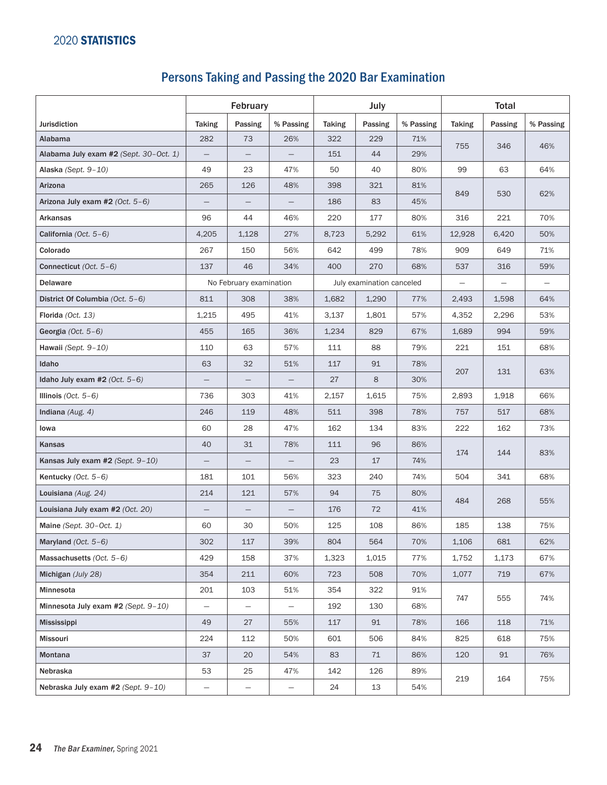## Persons Taking and Passing the 2020 Bar Examination

|                                        | February          |                                                      |                          | July          |         |           | <b>Total</b>  |         |           |
|----------------------------------------|-------------------|------------------------------------------------------|--------------------------|---------------|---------|-----------|---------------|---------|-----------|
| <b>Jurisdiction</b>                    | <b>Taking</b>     | Passing                                              | % Passing                | <b>Taking</b> | Passing | % Passing | <b>Taking</b> | Passing | % Passing |
| Alabama                                | 282               | 73                                                   | 26%                      | 322           | 229     | 71%       | 755           |         | 46%       |
| Alabama July exam #2 (Sept. 30-Oct. 1) | $\qquad \qquad -$ | $\overline{\phantom{0}}$                             |                          | 151           | 44      | 29%       |               | 346     |           |
| Alaska (Sept. 9-10)                    | 49                | 23                                                   | 47%                      | 50            | 40      | 80%       | 99            | 63      | 64%       |
| Arizona                                | 265               | 126                                                  | 48%                      | 398           | 321     | 81%       | 849           | 530     | 62%       |
| Arizona July exam #2 (Oct. 5-6)        |                   |                                                      |                          | 186           | 83      | 45%       |               |         |           |
| Arkansas                               | 96                | 44                                                   | 46%                      | 220           | 177     | 80%       | 316           | 221     | 70%       |
| California $(Oct. 5-6)$                | 4,205             | 1,128                                                | 27%                      | 8,723         | 5,292   | 61%       | 12,928        | 6,420   | 50%       |
| Colorado                               | 267               | 150                                                  | 56%                      | 642           | 499     | 78%       | 909           | 649     | 71%       |
| Connecticut (Oct. 5-6)                 | 137               | 46                                                   | 34%                      | 400           | 270     | 68%       | 537           | 316     | 59%       |
| <b>Delaware</b>                        |                   | No February examination<br>July examination canceled |                          |               |         |           |               |         |           |
| District Of Columbia (Oct. 5-6)        | 811               | 308                                                  | 38%                      | 1,682         | 1,290   | 77%       | 2,493         | 1,598   | 64%       |
| Florida (Oct. 13)                      | 1,215             | 495                                                  | 41%                      | 3.137         | 1,801   | 57%       | 4,352         | 2,296   | 53%       |
| Georgia $(Oct. 5-6)$                   | 455               | 165                                                  | 36%                      | 1,234         | 829     | 67%       | 1,689         | 994     | 59%       |
| Hawaii (Sept. 9-10)                    | 110               | 63                                                   | 57%                      | 111           | 88      | 79%       | 221           | 151     | 68%       |
| Idaho                                  | 63                | 32                                                   | 51%                      | 117           | 91      | 78%       | 207           | 131     | 63%       |
| Idaho July exam #2 $(Oct. 5-6)$        | $\qquad \qquad -$ | $\overline{\phantom{0}}$                             |                          | 27            | 8       | 30%       |               |         |           |
| Illinois (Oct. $5-6$ )                 | 736               | 303                                                  | 41%                      | 2,157         | 1,615   | 75%       | 2,893         | 1,918   | 66%       |
| Indiana $(Aug. 4)$                     | 246               | 119                                                  | 48%                      | 511           | 398     | 78%       | 757           | 517     | 68%       |
| lowa                                   | 60                | 28                                                   | 47%                      | 162           | 134     | 83%       | 222           | 162     | 73%       |
| Kansas                                 | 40                | 31                                                   | 78%                      | 111           | 96      | 86%       | 174           | 144     | 83%       |
| Kansas July exam #2 (Sept. 9-10)       |                   | $\overline{\phantom{0}}$                             |                          | 23            | 17      | 74%       |               |         |           |
| Kentucky $(Oct. 5-6)$                  | 181               | 101                                                  | 56%                      | 323           | 240     | 74%       | 504           | 341     | 68%       |
| Louisiana (Aug. 24)                    | 214               | 121                                                  | 57%                      | 94            | 75      | 80%       | 484           | 268     | 55%       |
| Louisiana July exam #2 (Oct. 20)       |                   |                                                      |                          | 176           | 72      | 41%       |               |         |           |
| Maine (Sept. $30$ –Oct. 1)             | 60                | 30                                                   | 50%                      | 125           | 108     | 86%       | 185           | 138     | 75%       |
| Maryland (Oct. 5-6)                    | 302               | $117\,$                                              | 39%                      | 804           | 564     | 70%       | 1,106         | 681     | 62%       |
| Massachusetts $(Oct. 5-6)$             | 429               | 158                                                  | 37%                      | 1,323         | 1,015   | 77%       | 1,752         | 1,173   | 67%       |
| Michigan (July 28)                     | 354               | 211                                                  | 60%                      | 723           | 508     | 70%       | 1,077         | 719     | 67%       |
| Minnesota                              | 201               | 103                                                  | 51%                      | 354           | 322     | 91%       | 747           | 555     | 74%       |
| Minnesota July exam #2 (Sept. 9-10)    | $\qquad \qquad -$ | $\overline{\phantom{m}}$                             | $\overline{\phantom{m}}$ | 192           | 130     | 68%       |               |         |           |
| <b>Mississippi</b>                     | 49                | 27                                                   | 55%                      | 117           | 91      | 78%       | 166           | 118     | 71%       |
| <b>Missouri</b>                        | 224               | 112                                                  | 50%                      | 601           | 506     | 84%       | 825           | 618     | 75%       |
| Montana                                | 37                | 20                                                   | 54%                      | 83            | 71      | 86%       | 120           | 91      | 76%       |
| Nebraska                               | 53                | 25                                                   | 47%                      | 142           | 126     | 89%       | 219           | 164     | 75%       |
| Nebraska July exam #2 (Sept. 9-10)     | -                 | $\qquad \qquad -$                                    | —                        | 24            | 13      | 54%       |               |         |           |